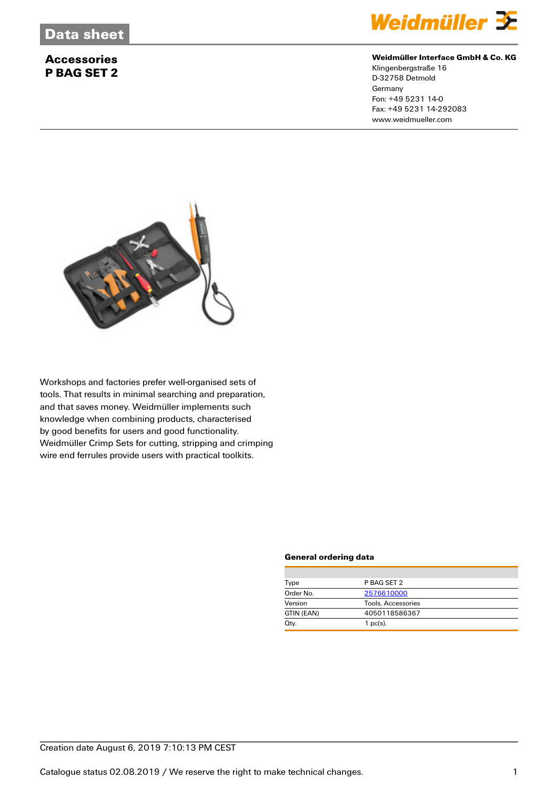# **Accessories P BAG SET 2**



#### **Weidmüller Interface GmbH & Co. KG**

Klingenbergstraße 16 D-32758 Detmold **Germany** Fon: +49 5231 14-0 Fax: +49 5231 14-292083 www.weidmueller.com



Workshops and factories prefer well-organised sets of tools. That results in minimal searching and preparation, and that saves money. Weidmüller implements such knowledge when combining products, characterised by good benefits for users and good functionality. Weidmüller Crimp Sets for cutting, stripping and crimping wire end ferrules provide users with practical toolkits.

#### **General ordering data**

| Type       | P BAG SET 2        |  |  |
|------------|--------------------|--|--|
| Order No.  | 2576610000         |  |  |
| Version    | Tools, Accessories |  |  |
| GTIN (EAN) | 4050118586367      |  |  |
| Qty.       | $1$ pc(s).         |  |  |